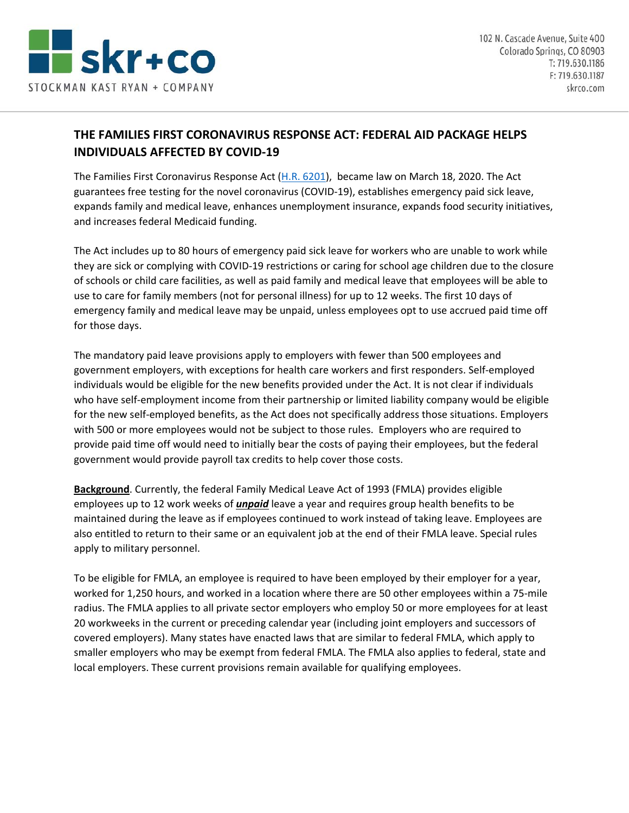

## **THE FAMILIES FIRST CORONAVIRUS RESPONSE ACT: FEDERAL AID PACKAGE HELPS INDIVIDUALS AFFECTED BY COVID‐19**

The Families First Coronavirus Response Act (H.R. 6201), became law on March 18, 2020. The Act guarantees free testing for the novel coronavirus (COVID‐19), establishes emergency paid sick leave, expands family and medical leave, enhances unemployment insurance, expands food security initiatives, and increases federal Medicaid funding.

The Act includes up to 80 hours of emergency paid sick leave for workers who are unable to work while they are sick or complying with COVID‐19 restrictions or caring for school age children due to the closure of schools or child care facilities, as well as paid family and medical leave that employees will be able to use to care for family members (not for personal illness) for up to 12 weeks. The first 10 days of emergency family and medical leave may be unpaid, unless employees opt to use accrued paid time off for those days.

The mandatory paid leave provisions apply to employers with fewer than 500 employees and government employers, with exceptions for health care workers and first responders. Self‐employed individuals would be eligible for the new benefits provided under the Act. It is not clear if individuals who have self-employment income from their partnership or limited liability company would be eligible for the new self-employed benefits, as the Act does not specifically address those situations. Employers with 500 or more employees would not be subject to those rules. Employers who are required to provide paid time off would need to initially bear the costs of paying their employees, but the federal government would provide payroll tax credits to help cover those costs.

**Background**. Currently, the federal Family Medical Leave Act of 1993 (FMLA) provides eligible employees up to 12 work weeks of *unpaid* leave a year and requires group health benefits to be maintained during the leave as if employees continued to work instead of taking leave. Employees are also entitled to return to their same or an equivalent job at the end of their FMLA leave. Special rules apply to military personnel.

To be eligible for FMLA, an employee is required to have been employed by their employer for a year, worked for 1,250 hours, and worked in a location where there are 50 other employees within a 75-mile radius. The FMLA applies to all private sector employers who employ 50 or more employees for at least 20 workweeks in the current or preceding calendar year (including joint employers and successors of covered employers). Many states have enacted laws that are similar to federal FMLA, which apply to smaller employers who may be exempt from federal FMLA. The FMLA also applies to federal, state and local employers. These current provisions remain available for qualifying employees.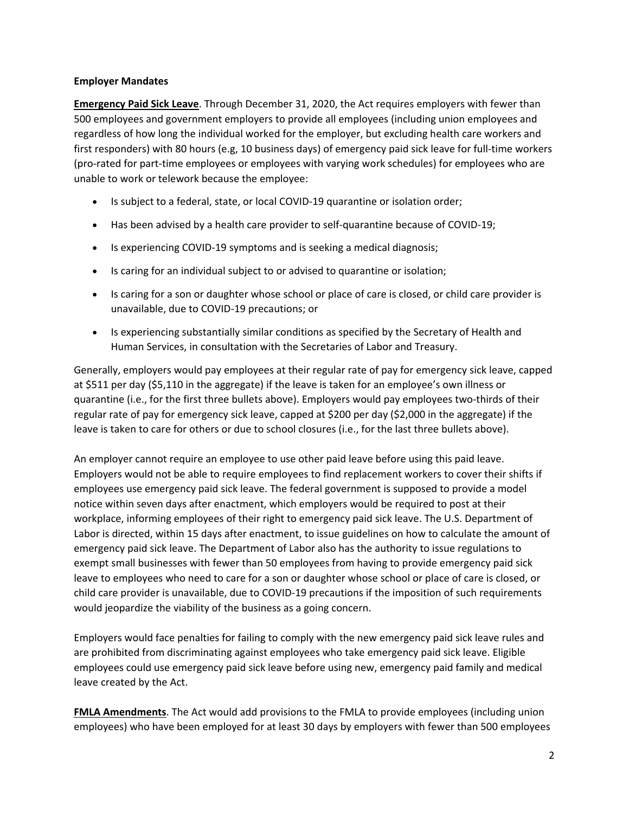## **Employer Mandates**

**Emergency Paid Sick Leave**. Through December 31, 2020, the Act requires employers with fewer than 500 employees and government employers to provide all employees (including union employees and regardless of how long the individual worked for the employer, but excluding health care workers and first responders) with 80 hours (e.g, 10 business days) of emergency paid sick leave for full‐time workers (pro‐rated for part‐time employees or employees with varying work schedules) for employees who are unable to work or telework because the employee:

- Is subject to a federal, state, or local COVID-19 quarantine or isolation order;
- Has been advised by a health care provider to self-quarantine because of COVID-19;
- Is experiencing COVID-19 symptoms and is seeking a medical diagnosis;
- Is caring for an individual subject to or advised to quarantine or isolation;
- Is caring for a son or daughter whose school or place of care is closed, or child care provider is unavailable, due to COVID‐19 precautions; or
- Is experiencing substantially similar conditions as specified by the Secretary of Health and Human Services, in consultation with the Secretaries of Labor and Treasury.

Generally, employers would pay employees at their regular rate of pay for emergency sick leave, capped at \$511 per day (\$5,110 in the aggregate) if the leave is taken for an employee's own illness or quarantine (i.e., for the first three bullets above). Employers would pay employees two‐thirds of their regular rate of pay for emergency sick leave, capped at \$200 per day (\$2,000 in the aggregate) if the leave is taken to care for others or due to school closures (i.e., for the last three bullets above).

An employer cannot require an employee to use other paid leave before using this paid leave. Employers would not be able to require employees to find replacement workers to cover their shifts if employees use emergency paid sick leave. The federal government is supposed to provide a model notice within seven days after enactment, which employers would be required to post at their workplace, informing employees of their right to emergency paid sick leave. The U.S. Department of Labor is directed, within 15 days after enactment, to issue guidelines on how to calculate the amount of emergency paid sick leave. The Department of Labor also has the authority to issue regulations to exempt small businesses with fewer than 50 employees from having to provide emergency paid sick leave to employees who need to care for a son or daughter whose school or place of care is closed, or child care provider is unavailable, due to COVID‐19 precautions if the imposition of such requirements would jeopardize the viability of the business as a going concern.

Employers would face penalties for failing to comply with the new emergency paid sick leave rules and are prohibited from discriminating against employees who take emergency paid sick leave. Eligible employees could use emergency paid sick leave before using new, emergency paid family and medical leave created by the Act.

**FMLA Amendments**. The Act would add provisions to the FMLA to provide employees (including union employees) who have been employed for at least 30 days by employers with fewer than 500 employees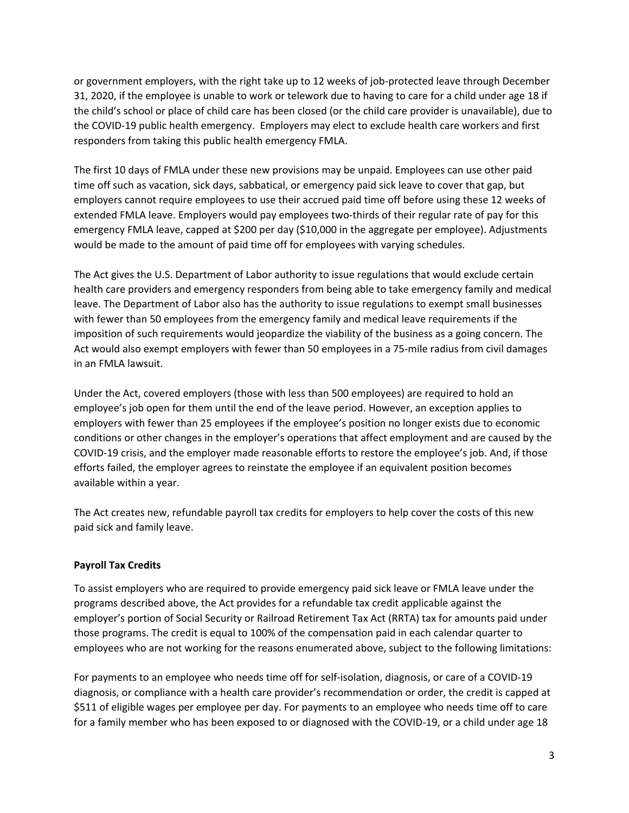or government employers, with the right take up to 12 weeks of job‐protected leave through December 31, 2020, if the employee is unable to work or telework due to having to care for a child under age 18 if the child's school or place of child care has been closed (or the child care provider is unavailable), due to the COVID‐19 public health emergency. Employers may elect to exclude health care workers and first responders from taking this public health emergency FMLA.

The first 10 days of FMLA under these new provisions may be unpaid. Employees can use other paid time off such as vacation, sick days, sabbatical, or emergency paid sick leave to cover that gap, but employers cannot require employees to use their accrued paid time off before using these 12 weeks of extended FMLA leave. Employers would pay employees two-thirds of their regular rate of pay for this emergency FMLA leave, capped at \$200 per day (\$10,000 in the aggregate per employee). Adjustments would be made to the amount of paid time off for employees with varying schedules.

The Act gives the U.S. Department of Labor authority to issue regulations that would exclude certain health care providers and emergency responders from being able to take emergency family and medical leave. The Department of Labor also has the authority to issue regulations to exempt small businesses with fewer than 50 employees from the emergency family and medical leave requirements if the imposition of such requirements would jeopardize the viability of the business as a going concern. The Act would also exempt employers with fewer than 50 employees in a 75‐mile radius from civil damages in an FMLA lawsuit.

Under the Act, covered employers (those with less than 500 employees) are required to hold an employee's job open for them until the end of the leave period. However, an exception applies to employers with fewer than 25 employees if the employee's position no longer exists due to economic conditions or other changes in the employer's operations that affect employment and are caused by the COVID‐19 crisis, and the employer made reasonable efforts to restore the employee's job. And, if those efforts failed, the employer agrees to reinstate the employee if an equivalent position becomes available within a year.

The Act creates new, refundable payroll tax credits for employers to help cover the costs of this new paid sick and family leave.

## **Payroll Tax Credits**

To assist employers who are required to provide emergency paid sick leave or FMLA leave under the programs described above, the Act provides for a refundable tax credit applicable against the employer's portion of Social Security or Railroad Retirement Tax Act (RRTA) tax for amounts paid under those programs. The credit is equal to 100% of the compensation paid in each calendar quarter to employees who are not working for the reasons enumerated above, subject to the following limitations:

For payments to an employee who needs time off for self‐isolation, diagnosis, or care of a COVID‐19 diagnosis, or compliance with a health care provider's recommendation or order, the credit is capped at \$511 of eligible wages per employee per day. For payments to an employee who needs time off to care for a family member who has been exposed to or diagnosed with the COVID‐19, or a child under age 18